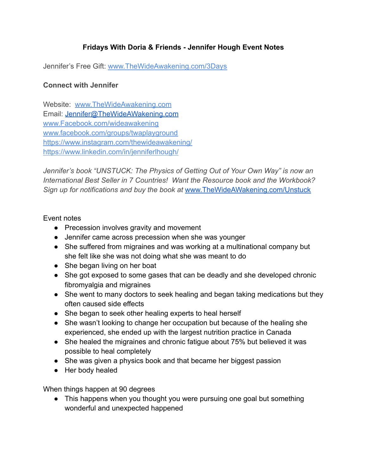## **Fridays With Doria & Friends - Jennifer Hough Event Notes**

Jennifer's Free Gift: [www.TheWideAwakening.com/3Days](http://www.thewideawakening.com/3Days)

## **Connect with Jennifer**

Website: [www.TheWideAwakening.com](http://www.thewideawakening.com/) Email: [Jennifer@TheWideAWakening.com](mailto:Jennifer@TheWideAWakening.com) [www.Facebook.com/wideawakening](http://www.facebook.com/wideawakening) [www.facebook.com/groups/twaplayground](http://www.facebook.com/groups/twaplayground) <https://www.instagram.com/thewideawakening/> <https://www.linkedin.com/in/jenniferlhough/>

*Jennifer's book "UNSTUCK: The Physics of Getting Out of Your Own Way" is now an International Best Seller in 7 Countries! Want the Resource book and the Workbook? Sign up for notifications and buy the book at* [www.TheWideAWakening.com/Unstuck](http://www.thewideawakening.com/Unstuck)

## Event notes

- Precession involves gravity and movement
- Jennifer came across precession when she was younger
- She suffered from migraines and was working at a multinational company but she felt like she was not doing what she was meant to do
- She began living on her boat
- She got exposed to some gases that can be deadly and she developed chronic fibromyalgia and migraines
- She went to many doctors to seek healing and began taking medications but they often caused side effects
- She began to seek other healing experts to heal herself
- She wasn't looking to change her occupation but because of the healing she experienced, she ended up with the largest nutrition practice in Canada
- She healed the migraines and chronic fatigue about 75% but believed it was possible to heal completely
- She was given a physics book and that became her biggest passion
- Her body healed

When things happen at 90 degrees

• This happens when you thought you were pursuing one goal but something wonderful and unexpected happened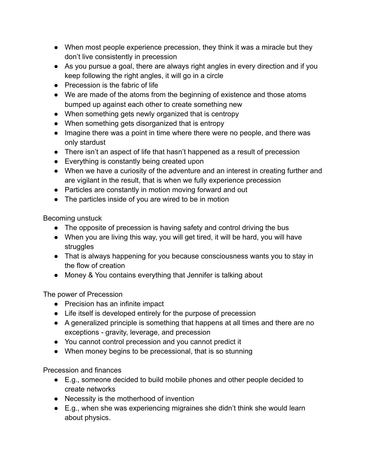- When most people experience precession, they think it was a miracle but they don't live consistently in precession
- As you pursue a goal, there are always right angles in every direction and if you keep following the right angles, it will go in a circle
- Precession is the fabric of life
- We are made of the atoms from the beginning of existence and those atoms bumped up against each other to create something new
- When something gets newly organized that is centropy
- When something gets disorganized that is entropy
- Imagine there was a point in time where there were no people, and there was only stardust
- There isn't an aspect of life that hasn't happened as a result of precession
- Everything is constantly being created upon
- When we have a curiosity of the adventure and an interest in creating further and are vigilant in the result, that is when we fully experience precession
- Particles are constantly in motion moving forward and out
- The particles inside of you are wired to be in motion

Becoming unstuck

- The opposite of precession is having safety and control driving the bus
- When you are living this way, you will get tired, it will be hard, you will have struggles
- That is always happening for you because consciousness wants you to stay in the flow of creation
- Money & You contains everything that Jennifer is talking about

The power of Precession

- Precision has an infinite impact
- Life itself is developed entirely for the purpose of precession
- A generalized principle is something that happens at all times and there are no exceptions - gravity, leverage, and precession
- You cannot control precession and you cannot predict it
- When money begins to be precessional, that is so stunning

Precession and finances

- E.g., someone decided to build mobile phones and other people decided to create networks
- Necessity is the motherhood of invention
- E.g., when she was experiencing migraines she didn't think she would learn about physics.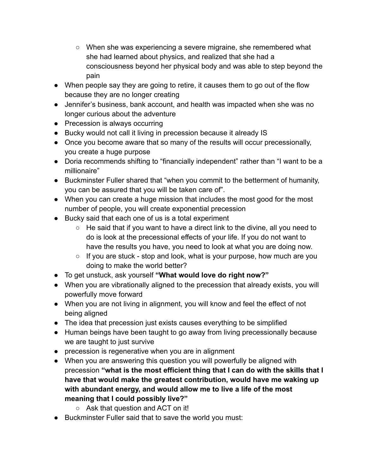- When she was experiencing a severe migraine, she remembered what she had learned about physics, and realized that she had a consciousness beyond her physical body and was able to step beyond the pain
- When people say they are going to retire, it causes them to go out of the flow because they are no longer creating
- Jennifer's business, bank account, and health was impacted when she was no longer curious about the adventure
- Precession is always occurring
- Bucky would not call it living in precession because it already IS
- Once you become aware that so many of the results will occur precessionally, you create a huge purpose
- Doria recommends shifting to "financially independent" rather than "I want to be a millionaire"
- Buckminster Fuller shared that "when you commit to the betterment of humanity, you can be assured that you will be taken care of".
- When you can create a huge mission that includes the most good for the most number of people, you will create exponential precession
- Bucky said that each one of us is a total experiment
	- He said that if you want to have a direct link to the divine, all you need to do is look at the precessional effects of your life. If you do not want to have the results you have, you need to look at what you are doing now.
	- If you are stuck stop and look, what is your purpose, how much are you doing to make the world better?
- To get unstuck, ask yourself **"What would love do right now?"**
- When you are vibrationally aligned to the precession that already exists, you will powerfully move forward
- When you are not living in alignment, you will know and feel the effect of not being aligned
- The idea that precession just exists causes everything to be simplified
- Human beings have been taught to go away from living precessionally because we are taught to just survive
- precession is regenerative when you are in alignment
- When you are answering this question you will powerfully be aligned with precession **"what is the most efficient thing that I can do with the skills that I have that would make the greatest contribution, would have me waking up with abundant energy, and would allow me to live a life of the most meaning that I could possibly live?"**
	- Ask that question and ACT on it!
- Buckminster Fuller said that to save the world you must: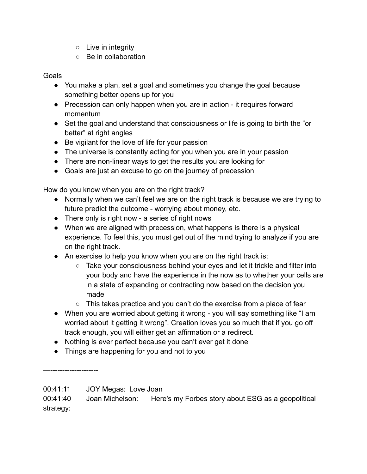- Live in integrity
- Be in collaboration

Goals

- You make a plan, set a goal and sometimes you change the goal because something better opens up for you
- Precession can only happen when you are in action it requires forward momentum
- Set the goal and understand that consciousness or life is going to birth the "or better" at right angles
- Be vigilant for the love of life for your passion
- The universe is constantly acting for you when you are in your passion
- There are non-linear ways to get the results you are looking for
- Goals are just an excuse to go on the journey of precession

How do you know when you are on the right track?

- Normally when we can't feel we are on the right track is because we are trying to future predict the outcome - worrying about money, etc.
- There only is right now a series of right nows
- When we are aligned with precession, what happens is there is a physical experience. To feel this, you must get out of the mind trying to analyze if you are on the right track.
- An exercise to help you know when you are on the right track is:
	- Take your consciousness behind your eyes and let it trickle and filter into your body and have the experience in the now as to whether your cells are in a state of expanding or contracting now based on the decision you made
	- This takes practice and you can't do the exercise from a place of fear
- When you are worried about getting it wrong you will say something like "I am worried about it getting it wrong". Creation loves you so much that if you go off track enough, you will either get an affirmation or a redirect.
- Nothing is ever perfect because you can't ever get it done
- Things are happening for you and not to you

—--------------------

<sup>00:41:11</sup> JOY Megas: Love Joan

<sup>00:41:40</sup> Joan Michelson: Here's my Forbes story about ESG as a geopolitical strategy: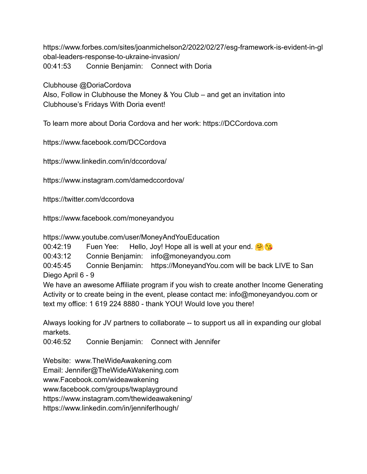https://www.forbes.com/sites/joanmichelson2/2022/02/27/esg-framework-is-evident-in-gl obal-leaders-response-to-ukraine-invasion/ 00:41:53 Connie Benjamin: Connect with Doria

Clubhouse @DoriaCordova

Also, Follow in Clubhouse the Money & You Club – and get an invitation into Clubhouse's Fridays With Doria event!

To learn more about Doria Cordova and her work: https://DCCordova.com

https://www.facebook.com/DCCordova

https://www.linkedin.com/in/dccordova/

https://www.instagram.com/damedccordova/

https://twitter.com/dccordova

https://www.facebook.com/moneyandyou

https://www.youtube.com/user/MoneyAndYouEducation

00:42:19 Fuen Yee: Hello, Joy! Hope all is well at your end.

00:43:12 Connie Benjamin: info@moneyandyou.com

00:45:45 Connie Benjamin: https://MoneyandYou.com will be back LIVE to San Diego April 6 - 9

We have an awesome Affiliate program if you wish to create another Income Generating Activity or to create being in the event, please contact me: info@moneyandyou.com or text my office: 1 619 224 8880 - thank YOU! Would love you there!

Always looking for JV partners to collaborate -- to support us all in expanding our global markets.

00:46:52 Connie Benjamin: Connect with Jennifer

Website: www.TheWideAwakening.com

Email: Jennifer@TheWideAWakening.com

www.Facebook.com/wideawakening

www.facebook.com/groups/twaplayground

https://www.instagram.com/thewideawakening/

https://www.linkedin.com/in/jenniferlhough/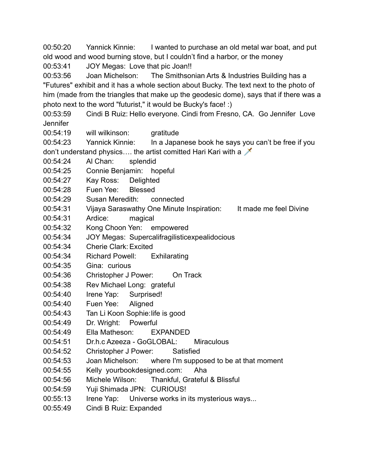00:50:20 Yannick Kinnie: I wanted to purchase an old metal war boat, and put old wood and wood burning stove, but I couldn't find a harbor, or the money

00:53:41 JOY Megas: Love that pic Joan!!

00:53:56 Joan Michelson: The Smithsonian Arts & Industries Building has a "Futures" exhibit and it has a whole section about Bucky. The text next to the photo of him (made from the triangles that make up the geodesic dome), says that if there was a photo next to the word "futurist," it would be Bucky's face! :)

00:53:59 Cindi B Ruiz: Hello everyone. Cindi from Fresno, CA. Go Jennifer Love Jennifer

00:54:19 will wilkinson: gratitude

00:54:23 Yannick Kinnie: In a Japanese book he says you can't be free if you don't understand physics.... the artist comitted Hari Kari with a  $\chi$ 

- 00:54:24 Al Chan: splendid
- 00:54:25 Connie Benjamin: hopeful
- 00:54:27 Kay Ross: Delighted
- 00:54:28 Fuen Yee: Blessed
- 00:54:29 Susan Meredith: connected
- 00:54:31 Vijaya Saraswathy One Minute Inspiration: It made me feel Divine
- 00:54:31 Ardice: magical
- 00:54:32 Kong Choon Yen: empowered
- 00:54:34 JOY Megas: Supercalifragilisticexpealidocious
- 00:54:34 Cherie Clark: Excited
- 00:54:34 Richard Powell: Exhilarating
- 00:54:35 Gina: curious
- 00:54:36 Christopher J Power: On Track
- 00:54:38 Rev Michael Long: grateful
- 00:54:40 Irene Yap: Surprised!
- 00:54:40 Fuen Yee: Aligned
- 00:54:43 Tan Li Koon Sophie:life is good
- 00:54:49 Dr. Wright: Powerful
- 00:54:49 Ella Matheson: EXPANDED
- 00:54:51 Dr.h.c Azeeza GoGLOBAL: Miraculous
- 00:54:52 Christopher J Power: Satisfied
- 00:54:53 Joan Michelson: where I'm supposed to be at that moment
- 00:54:55 Kelly yourbookdesigned.com: Aha
- 00:54:56 Michele Wilson: Thankful, Grateful & Blissful
- 00:54:59 Yuji Shimada JPN: CURIOUS!
- 00:55:13 Irene Yap: Universe works in its mysterious ways...
- 00:55:49 Cindi B Ruiz: Expanded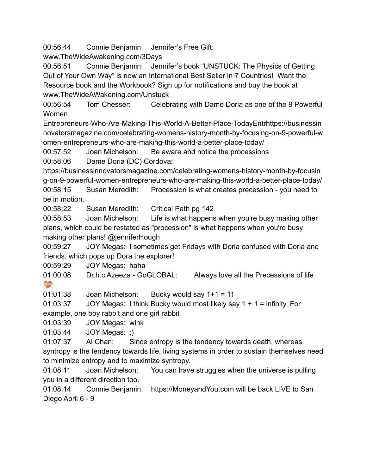00:56:44 Connie Benjamin: Jennifer's Free Gift:

www.TheWideAwakening.com/3Days

00:56:51 Connie Benjamin: Jennifer's book "UNSTUCK: The Physics of Getting Out of Your Own Way" is now an International Best Seller in 7 Countries! Want the Resource book and the Workbook? Sign up for notifications and buy the book at www.TheWideAWakening.com/Unstuck

00:56:54 Tom Chesser: Celebrating with Dame Doria as one of the 9 Powerful Women

Entrepreneurs-Who-Are-Making-This-World-A-Better-Place-TodayEntrhttps://businessin novatorsmagazine.com/celebrating-womens-history-month-by-focusing-on-9-powerful-w omen-entrepreneurs-who-are-making-this-world-a-better-place-today/

00:57:52 Joan Michelson: Be aware and notice the processions

00:58:06 Dame Doria (DC) Cordova:

https://businessinnovatorsmagazine.com/celebrating-womens-history-month-by-focusin g-on-9-powerful-women-entrepreneurs-who-are-making-this-world-a-better-place-today/ 00:58:15 Susan Meredith: Procession is what creates precession - you need to be in motion.

00:58:22 Susan Meredith: Critical Path pg 142

00:58:53 Joan Michelson: Life is what happens when you're busy making other plans, which could be restated as "procession" is what happens when you're busy making other plans! @jenniferHough

00:59:27 JOY Megas: I sometimes get Fridays with Doria confused with Doria and friends, which pops up Dora the explorer!

00:59:29 JOY Megas: haha

01:00:08 Dr.h.c Azeeza - GoGLOBAL: Always love all the Precessions of life **RS** 

01:01:38 Joan Michelson: Bucky would say 1+1 = 11

01:03:37 JOY Megas: I think Bucky would most likely say  $1 + 1 =$  infinity. For example, one boy rabbit and one girl rabbit

01:03:39 JOY Megas: wink

01:03:44 JOY Megas: ;)

01:07:37 Al Chan: Since entropy is the tendency towards death, whereas syntropy is the tendency towards life, living systems in order to sustain themselves need to minimize entropy and to maximize syntropy.

01:08:11 Joan Michelson: You can have struggles when the universe is pulling you in a different direction too.

01:08:14 Connie Benjamin: https://MoneyandYou.com will be back LIVE to San Diego April 6 - 9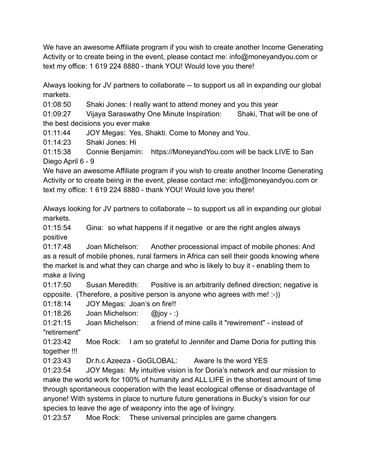We have an awesome Affiliate program if you wish to create another Income Generating Activity or to create being in the event, please contact me: info@moneyandyou.com or text my office: 1 619 224 8880 - thank YOU! Would love you there!

Always looking for JV partners to collaborate -- to support us all in expanding our global markets.

01:08:50 Shaki Jones: I really want to attend money and you this year

01:09:27 Vijaya Saraswathy One Minute Inspiration: Shaki, That will be one of the best decisions you ever make

01:11:44 JOY Megas: Yes, Shakti. Come to Money and You.

01:14:23 Shaki Jones: Hi

01:15:38 Connie Benjamin: https://MoneyandYou.com will be back LIVE to San Diego April 6 - 9

We have an awesome Affiliate program if you wish to create another Income Generating Activity or to create being in the event, please contact me: info@moneyandyou.com or text my office: 1 619 224 8880 - thank YOU! Would love you there!

Always looking for JV partners to collaborate -- to support us all in expanding our global markets.

01:15:54 Gina: so what happens if it negative or are the right angles always positive

01:17:48 Joan Michelson: Another processional impact of mobile phones: And as a result of mobile phones, rural farmers in Africa can sell their goods knowing where the market is and what they can charge and who is likely to buy it - enabling them to make a living

01:17:50 Susan Meredith: Positive is an arbitrarily defined direction; negative is opposite. (Therefore, a positive person is anyone who agrees with me! :-))

01:18:14 JOY Megas: Joan's on fire!!

01:18:26 Joan Michelson: @joy - :)

01:21:15 Joan Michelson: a friend of mine calls it "rewirement" - instead of "retirement"

01:23:42 Moe Rock: I am so grateful to Jennifer and Dame Doria for putting this together !!!

01:23:43 Dr.h.c Azeeza - GoGLOBAL: Aware Is the word YES

01:23:54 JOY Megas: My intuitive vision is for Doria's network and our mission to make the world work for 100% of humanity and ALL LIFE in the shortest amount of time through spontaneous cooperation with the least ecological offense or disadvantage of anyone! With systems in place to nurture future generations in Bucky's vision for our species to leave the age of weaponry into the age of livingry.

01:23:57 Moe Rock: These universal principles are game changers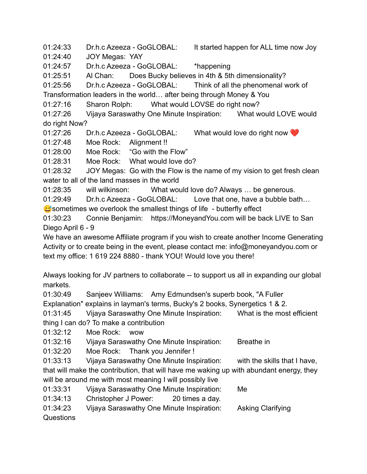01:24:33 Dr.h.c Azeeza - GoGLOBAL: It started happen for ALL time now Joy

01:24:40 JOY Megas: YAY

01:24:57 Dr.h.c Azeeza - GoGLOBAL: \*happening

01:25:51 Al Chan: Does Bucky believes in 4th & 5th dimensionality?

01:25:56 Dr.h.c Azeeza - GoGLOBAL: Think of all the phenomenal work of

Transformation leaders in the world… after being through Money & You

01:27:16 Sharon Rolph: What would LOVSE do right now?

01:27:26 Vijaya Saraswathy One Minute Inspiration: What would LOVE would do right Now?

01:27:26 Dr.h.c Azeeza - GoGLOBAL: What would love do right now

01:27:48 Moe Rock: Alignment !!

01:28:00 Moe Rock: "Go with the Flow"

01:28:31 Moe Rock: What would love do?

01:28:32 JOY Megas: Go with the Flow is the name of my vision to get fresh clean water to all of the land masses in the world

01:28:35 will wilkinson: What would love do? Always … be generous.

01:29:49 Dr.h.c Azeeza - GoGLOBAL: Love that one, have a bubble bath...

 $\approx$  sometimes we overlook the smallest things of life - butterfly effect

01:30:23 Connie Benjamin: https://MoneyandYou.com will be back LIVE to San Diego April 6 - 9

We have an awesome Affiliate program if you wish to create another Income Generating Activity or to create being in the event, please contact me: info@moneyandyou.com or text my office: 1 619 224 8880 - thank YOU! Would love you there!

Always looking for JV partners to collaborate -- to support us all in expanding our global markets.

01:30:49 Sanjeev Williams: Amy Edmundsen's superb book, "A Fuller

Explanation" explains in layman's terms, Bucky's 2 books, Synergetics 1 & 2.

01:31:45 Vijaya Saraswathy One Minute Inspiration: What is the most efficient thing I can do? To make a contribution

01:32:12 Moe Rock: wow

01:32:16 Vijaya Saraswathy One Minute Inspiration: Breathe in

01:32:20 Moe Rock: Thank you Jennifer !

01:33:13 Vijaya Saraswathy One Minute Inspiration: with the skills that I have, that will make the contribution, that will have me waking up with abundant energy, they will be around me with most meaning I will possibly live

01:33:31 Vijaya Saraswathy One Minute Inspiration: Me

01:34:13 Christopher J Power: 20 times a day.

01:34:23 Vijaya Saraswathy One Minute Inspiration: Asking Clarifying

Questions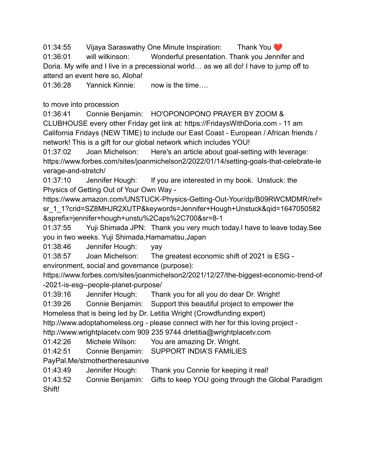01:34:55 Vijaya Saraswathy One Minute Inspiration: Thank You ❤️

01:36:01 will wilkinson: Wonderful presentation. Thank you Jennifer and Doria. My wife and I live in a precessional world… as we all do! I have to jump off to attend an event here so, Aloha!

01:36:28 Yannick Kinnie: now is the time….

to move into procession

01:36:41 Connie Benjamin: HO'OPONOPONO PRAYER BY ZOOM & CLUBHOUSE every other Friday get link at: https://FridaysWithDoria.com - 11 am California Fridays (NEW TIME) to include our East Coast - European / African friends / network! This is a gift for our global network which includes YOU!

01:37:02 Joan Michelson: Here's an article about goal-setting with leverage: https://www.forbes.com/sites/joanmichelson2/2022/01/14/setting-goals-that-celebrate-le verage-and-stretch/

01:37:10 Jennifer Hough: If you are interested in my book. Unstuck: the Physics of Getting Out of Your Own Way -

https://www.amazon.com/UNSTUCK-Physics-Getting-Out-Your/dp/B09RWCMDMR/ref= sr\_1\_1?crid=SZ8MHJR2XUTP&keywords=Jennifer+Hough+Unstuck&qid=1647050582 &sprefix=jennifer+hough+unstu%2Caps%2C700&sr=8-1

01:37:55 Yuji Shimada JPN: Thank you very much today.I have to leave today.See you in two weeks. Yuji Shimada,Hamamatsu,Japan

01:38:46 Jennifer Hough: yay

01:38:57 Joan Michelson: The greatest economic shift of 2021 is ESG -

environment, social and governance (purpose):

https://www.forbes.com/sites/joanmichelson2/2021/12/27/the-biggest-economic-trend-of -2021-is-esg--people-planet-purpose/

01:39:16 Jennifer Hough: Thank you for all you do dear Dr. Wright!

01:39:26 Connie Benjamin: Support this beautiful project to empower the

Homeless that is being led by Dr. Letitia Wright (Crowdfunding expert)

http://www.adoptahomeless.org - please connect with her for this loving project -

http://www.wrightplacetv.com 909 235 9744 drletitia@wrightplacetv.com

01:42:26 Michele Wilson: You are amazing Dr. Wright.

01:42:51 Connie Benjamin: SUPPORT INDIA'S FAMILIES

PayPal.Me/stmothertheresaunive

01:43:49 Jennifer Hough: Thank you Connie for keeping it real!

01:43:52 Connie Benjamin: Gifts to keep YOU going through the Global Paradigm Shift!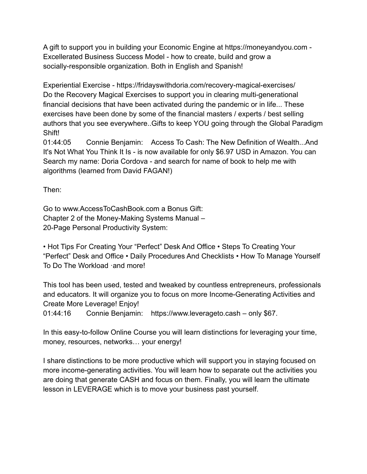A gift to support you in building your Economic Engine at https://moneyandyou.com - Excellerated Business Success Model - how to create, build and grow a socially-responsible organization. Both in English and Spanish!

Experiential Exercise - https://fridayswithdoria.com/recovery-magical-exercises/ Do the Recovery Magical Exercises to support you in clearing multi-generational financial decisions that have been activated during the pandemic or in life... These exercises have been done by some of the financial masters / experts / best selling authors that you see everywhere..Gifts to keep YOU going through the Global Paradigm Shift!

01:44:05 Connie Benjamin: Access To Cash: The New Definition of Wealth...And It's Not What You Think It Is - is now available for only \$6.97 USD in Amazon. You can Search my name: Doria Cordova - and search for name of book to help me with algorithms (learned from David FAGAN!)

Then:

Go to www.AccessToCashBook.com a Bonus Gift: Chapter 2 of the Money-Making Systems Manual – 20-Page Personal Productivity System:

• Hot Tips For Creating Your "Perfect" Desk And Office • Steps To Creating Your "Perfect" Desk and Office • Daily Procedures And Checklists • How To Manage Yourself To Do The Workload ·and more!

This tool has been used, tested and tweaked by countless entrepreneurs, professionals and educators. It will organize you to focus on more Income-Generating Activities and Create More Leverage! Enjoy!

01:44:16 Connie Benjamin: https://www.leverageto.cash – only \$67.

In this easy-to-follow Online Course you will learn distinctions for leveraging your time, money, resources, networks… your energy!

I share distinctions to be more productive which will support you in staying focused on more income-generating activities. You will learn how to separate out the activities you are doing that generate CASH and focus on them. Finally, you will learn the ultimate lesson in LEVERAGE which is to move your business past yourself.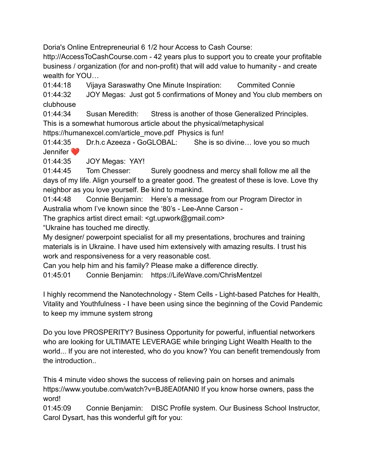Doria's Online Entrepreneurial 6 1/2 hour Access to Cash Course:

http://AccessToCashCourse.com - 42 years plus to support you to create your profitable business / organization (for and non-profit) that will add value to humanity - and create wealth for YOU…

01:44:18 Vijaya Saraswathy One Minute Inspiration: Commited Connie

01:44:32 JOY Megas: Just got 5 confirmations of Money and You club members on clubhouse

01:44:34 Susan Meredith: Stress is another of those Generalized Principles. This is a somewhat humorous article about the physical/metaphysical

https://humanexcel.com/article\_move.pdf Physics is fun!

01:44:35 Dr.h.c Azeeza - GoGLOBAL: She is so divine... love you so much Jennifer ❤️

01:44:35 JOY Megas: YAY!

01:44:45 Tom Chesser: Surely goodness and mercy shall follow me all the days of my life. Align yourself to a greater good. The greatest of these is love. Love thy neighbor as you love yourself. Be kind to mankind.

01:44:48 Connie Benjamin: Here's a message from our Program Director in Australia whom I've known since the '80's - Lee-Anne Carson -

The graphics artist direct email: <gt.upwork@gmail.com>

"Ukraine has touched me directly.

My designer/ powerpoint specialist for all my presentations, brochures and training materials is in Ukraine. I have used him extensively with amazing results. I trust his work and responsiveness for a very reasonable cost.

Can you help him and his family? Please make a difference directly.

01:45:01 Connie Benjamin: https://LifeWave.com/ChrisMentzel

I highly recommend the Nanotechnology - Stem Cells - Light-based Patches for Health, Vitality and Youthfulness - I have been using since the beginning of the Covid Pandemic to keep my immune system strong

Do you love PROSPERITY? Business Opportunity for powerful, influential networkers who are looking for ULTIMATE LEVERAGE while bringing Light Wealth Health to the world... If you are not interested, who do you know? You can benefit tremendously from the introduction..

This 4 minute video shows the success of relieving pain on horses and animals https://www.youtube.com/watch?v=BJ8EA0fANl0 If you know horse owners, pass the word!

01:45:09 Connie Benjamin: DISC Profile system. Our Business School Instructor, Carol Dysart, has this wonderful gift for you: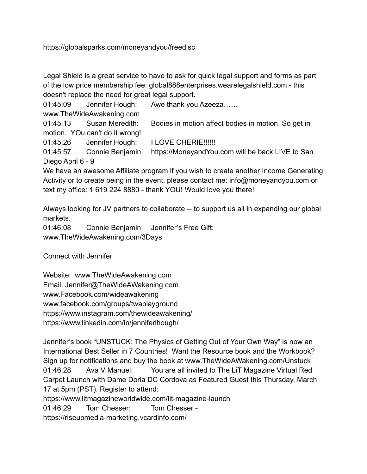https://globalsparks.com/moneyandyou/freedisc

Legal Shield is a great service to have to ask for quick legal support and forms as part of the low price membership fee: global888enterprises.wearelegalshield.com - this doesn't replace the need for great legal support.

01:45:09 Jennifer Hough: Awe thank you Azeeza…… www.TheWideAwakening.com 01:45:13 Susan Meredith: Bodies in motion affect bodies in motion. So get in motion. YOu can't do it wrong!

01:45:26 Jennifer Hough: I LOVE CHERIE!!!!!!

01:45:57 Connie Benjamin: https://MoneyandYou.com will be back LIVE to San Diego April 6 - 9

We have an awesome Affiliate program if you wish to create another Income Generating Activity or to create being in the event, please contact me: info@moneyandyou.com or text my office: 1 619 224 8880 - thank YOU! Would love you there!

Always looking for JV partners to collaborate -- to support us all in expanding our global markets.

01:46:08 Connie Benjamin: Jennifer's Free Gift: www.TheWideAwakening.com/3Days

Connect with Jennifer

Website: www.TheWideAwakening.com Email: Jennifer@TheWideAWakening.com www.Facebook.com/wideawakening www.facebook.com/groups/twaplayground https://www.instagram.com/thewideawakening/ https://www.linkedin.com/in/jenniferlhough/

Jennifer's book "UNSTUCK: The Physics of Getting Out of Your Own Way" is now an International Best Seller in 7 Countries! Want the Resource book and the Workbook? Sign up for notifications and buy the book at www.TheWideAWakening.com/Unstuck 01:46:28 Ava V Manuel: You are all invited to The LiT Magazine Virtual Red Carpet Launch with Dame Doria DC Cordova as Featured Guest this Thursday, March 17 at 5pm (PST). Register to attend:

https://www.litmagazineworldwide.com/lit-magazine-launch

01:46:29 Tom Chesser: Tom Chesser -

https://riseupmedia-marketing.vcardinfo.com/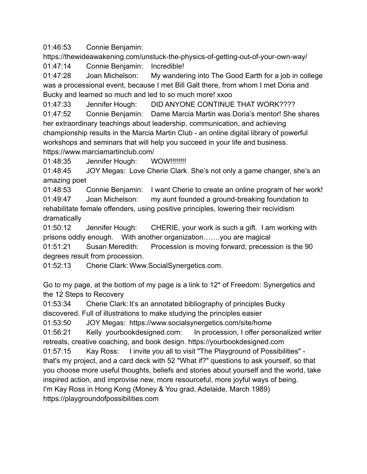01:46:53 Connie Benjamin:

https://thewideawakening.com/unstuck-the-physics-of-getting-out-of-your-own-way/

01:47:14 Connie Benjamin: Incredible!

01:47:28 Joan Michelson: My wandering into The Good Earth for a job in college was a processional event, because I met Bill Galt there, from whom I met Doria and Bucky and learned so much and led to so much more! xxoo

01:47:33 Jennifer Hough: DID ANYONE CONTINUE THAT WORK???? 01:47:52 Connie Benjamin: Dame Marcia Martin was Doria's mentor! She shares her extraordinary teachings about leadership, communication, and achieving championship results in the Marcia Martin Club - an online digital library of powerful workshops and seminars that will help you succeed in your life and business. https://www.marciamartinclub.com/

01:48:35 Jennifer Hough: WOW!!!!!!!!!

01:48:45 JOY Megas: Love Cherie Clark. She's not only a game changer, she's an amazing poet

01:48:53 Connie Benjamin: I want Cherie to create an online program of her work! 01:49:47 Joan Michelson: my aunt founded a ground-breaking foundation to rehabilitate female offenders, using positive principles, lowering their recividism dramatically

01:50:12 Jennifer Hough: CHERIE, your work is such a gift. I am working with prisons oddly enough. With another organization…….you are magical

01:51:21 Susan Meredith: Procession is moving forward; precession is the 90 degrees result from procession.

01:52:13 Cherie Clark: Www.SocialSynergetics.com.

Go to my page, at the bottom of my page is a link to 12\* of Freedom: Synergetics and the 12 Steps to Recovery

01:53:34 Cherie Clark: It's an annotated bibliography of principles Bucky discovered. Full of illustrations to make studying the principles easier

01:53:50 JOY Megas: https://www.socialsynergetics.com/site/home

01:56:21 Kelly yourbookdesigned.com: In procession, I offer personalized writer retreats, creative coaching, and book design. https://yourbookdesigned.com

01:57:15 Kay Ross: I invite you all to visit "The Playground of Possibilities" that's my project, and a card deck with 52 "What if?" questions to ask yourself, so that you choose more useful thoughts, beliefs and stories about yourself and the world, take inspired action, and improvise new, more resourceful, more joyful ways of being. I'm Kay Ross in Hong Kong (Money & You grad, Adelaide, March 1989) https://playgroundofpossibilities.com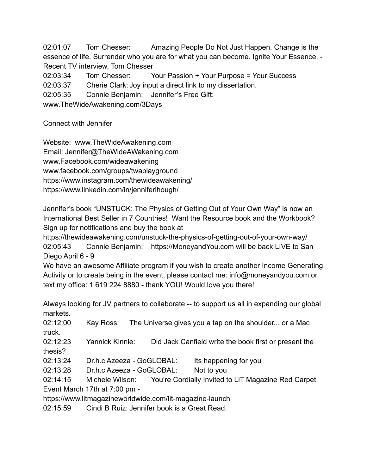02:01:07 Tom Chesser: Amazing People Do Not Just Happen. Change is the essence of life. Surrender who you are for what you can become. Ignite Your Essence. - Recent TV interview, Tom Chesser

02:03:34 Tom Chesser: Your Passion + Your Purpose = Your Success

02:03:37 Cherie Clark: Joy input a direct link to my dissertation.

02:05:35 Connie Benjamin: Jennifer's Free Gift:

www.TheWideAwakening.com/3Days

Connect with Jennifer

Website: www.TheWideAwakening.com Email: Jennifer@TheWideAWakening.com www.Facebook.com/wideawakening www.facebook.com/groups/twaplayground https://www.instagram.com/thewideawakening/ https://www.linkedin.com/in/jenniferlhough/

Jennifer's book "UNSTUCK: The Physics of Getting Out of Your Own Way" is now an International Best Seller in 7 Countries! Want the Resource book and the Workbook? Sign up for notifications and buy the book at

https://thewideawakening.com/unstuck-the-physics-of-getting-out-of-your-own-way/ 02:05:43 Connie Benjamin: https://MoneyandYou.com will be back LIVE to San Diego April 6 - 9

We have an awesome Affiliate program if you wish to create another Income Generating Activity or to create being in the event, please contact me: info@moneyandyou.com or text my office: 1 619 224 8880 - thank YOU! Would love you there!

Always looking for JV partners to collaborate -- to support us all in expanding our global markets.

02:12:00 Kay Ross: The Universe gives you a tap on the shoulder... or a Mac truck.

02:12:23 Yannick Kinnie: Did Jack Canfield write the book first or present the thesis?

02:13:24 Dr.h.c Azeeza - GoGLOBAL: Its happening for you

02:13:28 Dr.h.c Azeeza - GoGLOBAL: Not to you

02:14:15 Michele Wilson: You're Cordially Invited to LiT Magazine Red Carpet Event March 17th at 7:00 pm -

https://www.litmagazineworldwide.com/lit-magazine-launch

02:15:59 Cindi B Ruiz: Jennifer book is a Great Read.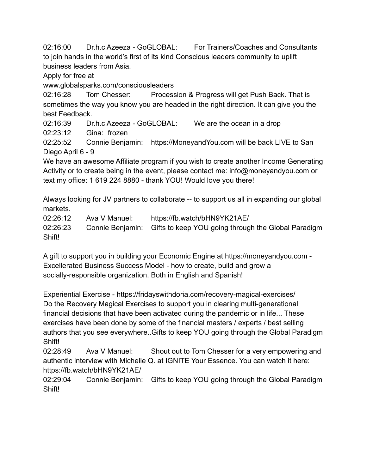02:16:00 Dr.h.c Azeeza - GoGLOBAL: For Trainers/Coaches and Consultants to join hands in the world's first of its kind Conscious leaders community to uplift business leaders from Asia.

Apply for free at

www.globalsparks.com/consciousleaders

02:16:28 Tom Chesser: Procession & Progress will get Push Back. That is sometimes the way you know you are headed in the right direction. It can give you the best Feedback.

02:16:39 Dr.h.c Azeeza - GoGLOBAL: We are the ocean in a drop

02:23:12 Gina: frozen

02:25:52 Connie Benjamin: https://MoneyandYou.com will be back LIVE to San Diego April 6 - 9

We have an awesome Affiliate program if you wish to create another Income Generating Activity or to create being in the event, please contact me: info@moneyandyou.com or text my office: 1 619 224 8880 - thank YOU! Would love you there!

Always looking for JV partners to collaborate -- to support us all in expanding our global markets.

02:26:12 Ava V Manuel: https://fb.watch/bHN9YK21AE/

02:26:23 Connie Benjamin: Gifts to keep YOU going through the Global Paradigm Shift!

A gift to support you in building your Economic Engine at https://moneyandyou.com - Excellerated Business Success Model - how to create, build and grow a socially-responsible organization. Both in English and Spanish!

Experiential Exercise - https://fridayswithdoria.com/recovery-magical-exercises/ Do the Recovery Magical Exercises to support you in clearing multi-generational financial decisions that have been activated during the pandemic or in life... These exercises have been done by some of the financial masters / experts / best selling authors that you see everywhere..Gifts to keep YOU going through the Global Paradigm Shift!

02:28:49 Ava V Manuel: Shout out to Tom Chesser for a very empowering and authentic interview with Michelle Q. at IGNITE Your Essence. You can watch it here: https://fb.watch/bHN9YK21AE/

02:29:04 Connie Benjamin: Gifts to keep YOU going through the Global Paradigm Shift!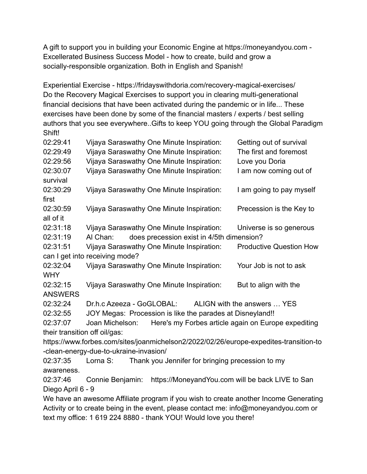A gift to support you in building your Economic Engine at https://moneyandyou.com - Excellerated Business Success Model - how to create, build and grow a socially-responsible organization. Both in English and Spanish!

Experiential Exercise - https://fridayswithdoria.com/recovery-magical-exercises/ Do the Recovery Magical Exercises to support you in clearing multi-generational financial decisions that have been activated during the pandemic or in life... These exercises have been done by some of the financial masters / experts / best selling authors that you see everywhere..Gifts to keep YOU going through the Global Paradigm Shift!

| 02:29:41                                                                              | Vijaya Saraswathy One Minute Inspiration:                 |  |  | Getting out of survival                             |  |
|---------------------------------------------------------------------------------------|-----------------------------------------------------------|--|--|-----------------------------------------------------|--|
| 02:29:49                                                                              | Vijaya Saraswathy One Minute Inspiration:                 |  |  | The first and foremost                              |  |
| 02:29:56                                                                              | Vijaya Saraswathy One Minute Inspiration:                 |  |  | Love you Doria                                      |  |
| 02:30:07                                                                              | Vijaya Saraswathy One Minute Inspiration:                 |  |  | I am now coming out of                              |  |
| survival                                                                              |                                                           |  |  |                                                     |  |
| 02:30:29                                                                              | Vijaya Saraswathy One Minute Inspiration:                 |  |  | I am going to pay myself                            |  |
| first                                                                                 |                                                           |  |  |                                                     |  |
| 02:30:59                                                                              | Vijaya Saraswathy One Minute Inspiration:                 |  |  | Precession is the Key to                            |  |
| all of it                                                                             |                                                           |  |  |                                                     |  |
| 02:31:18                                                                              | Vijaya Saraswathy One Minute Inspiration:                 |  |  | Universe is so generous                             |  |
| 02:31:19                                                                              | Al Chan:<br>does precession exist in 4/5th dimension?     |  |  |                                                     |  |
| 02:31:51                                                                              | Vijaya Saraswathy One Minute Inspiration:                 |  |  | <b>Productive Question How</b>                      |  |
|                                                                                       | can I get into receiving mode?                            |  |  |                                                     |  |
| 02:32:04                                                                              | Vijaya Saraswathy One Minute Inspiration:                 |  |  | Your Job is not to ask                              |  |
| <b>WHY</b>                                                                            |                                                           |  |  |                                                     |  |
| 02:32:15                                                                              | Vijaya Saraswathy One Minute Inspiration:                 |  |  | But to align with the                               |  |
| <b>ANSWERS</b>                                                                        |                                                           |  |  |                                                     |  |
| 02:32:24                                                                              | Dr.h.c Azeeza - GoGLOBAL:                                 |  |  | ALIGN with the answers  YES                         |  |
| 02:32:55                                                                              | JOY Megas: Procession is like the parades at Disneyland!! |  |  |                                                     |  |
| 02:37:07                                                                              | Joan Michelson:                                           |  |  | Here's my Forbes article again on Europe expediting |  |
| their transition off oil/gas:                                                         |                                                           |  |  |                                                     |  |
| https://www.forbes.com/sites/joanmichelson2/2022/02/26/europe-expedites-transition-to |                                                           |  |  |                                                     |  |
| -clean-energy-due-to-ukraine-invasion/                                                |                                                           |  |  |                                                     |  |
| 02:37:35                                                                              | Lorna S:                                                  |  |  | Thank you Jennifer for bringing precession to my    |  |
| awareness.                                                                            |                                                           |  |  |                                                     |  |
| 02:37:46                                                                              | Connie Benjamin:                                          |  |  | https://MoneyandYou.com will be back LIVE to San    |  |
| Diego April 6 - 9                                                                     |                                                           |  |  |                                                     |  |
| We have an awesome Affiliate program if you wish to create another Income Generating  |                                                           |  |  |                                                     |  |

Activity or to create being in the event, please contact me: info@moneyandyou.com or text my office: 1 619 224 8880 - thank YOU! Would love you there!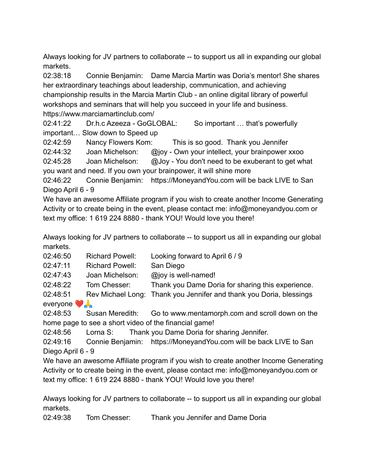Always looking for JV partners to collaborate -- to support us all in expanding our global markets.

02:38:18 Connie Benjamin: Dame Marcia Martin was Doria's mentor! She shares her extraordinary teachings about leadership, communication, and achieving championship results in the Marcia Martin Club - an online digital library of powerful workshops and seminars that will help you succeed in your life and business. https://www.marciamartinclub.com/

02:41:22 Dr.h.c Azeeza - GoGLOBAL: So important … that's powerfully important… Slow down to Speed up

02:42:59 Nancy Flowers Kom: This is so good. Thank you Jennifer

02:44:32 Joan Michelson: @joy - Own your intellect, your brainpower xxoo

02:45:28 Joan Michelson: @Joy - You don't need to be exuberant to get what you want and need. If you own your brainpower, it will shine more

02:46:22 Connie Benjamin: https://MoneyandYou.com will be back LIVE to San Diego April 6 - 9

We have an awesome Affiliate program if you wish to create another Income Generating Activity or to create being in the event, please contact me: info@moneyandyou.com or text my office: 1 619 224 8880 - thank YOU! Would love you there!

Always looking for JV partners to collaborate -- to support us all in expanding our global markets.

| 02:46:50 | <b>Richard Powell:</b> | Looking forward to April 6 / 9 |
|----------|------------------------|--------------------------------|
|----------|------------------------|--------------------------------|

02:47:11 Richard Powell: San Diego

02:47:43 Joan Michelson: @joy is well-named!

02:48:22 Tom Chesser: Thank you Dame Doria for sharing this experience.

02:48:51 Rev Michael Long: Thank you Jennifer and thank you Doria, blessings

everyone  $\bullet$ 

02:48:53 Susan Meredith: Go to www.mentamorph.com and scroll down on the home page to see a short video of the financial game!

02:48:56 Lorna S: Thank you Dame Doria for sharing Jennifer.

02:49:16 Connie Benjamin: https://MoneyandYou.com will be back LIVE to San Diego April 6 - 9

We have an awesome Affiliate program if you wish to create another Income Generating Activity or to create being in the event, please contact me: info@moneyandyou.com or text my office: 1 619 224 8880 - thank YOU! Would love you there!

Always looking for JV partners to collaborate -- to support us all in expanding our global markets.

02:49:38 Tom Chesser: Thank you Jennifer and Dame Doria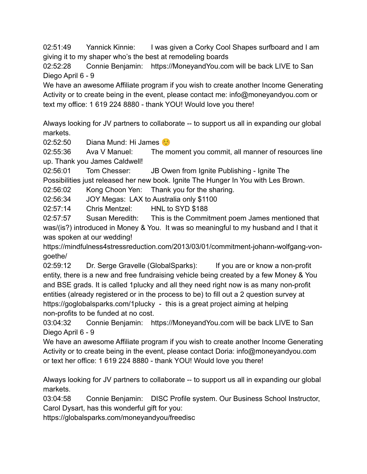02:51:49 Yannick Kinnie: I was given a Corky Cool Shapes surfboard and I am giving it to my shaper who's the best at remodeling boards

02:52:28 Connie Benjamin: https://MoneyandYou.com will be back LIVE to San Diego April 6 - 9

We have an awesome Affiliate program if you wish to create another Income Generating Activity or to create being in the event, please contact me: info@moneyandyou.com or text my office: 1 619 224 8880 - thank YOU! Would love you there!

Always looking for JV partners to collaborate -- to support us all in expanding our global markets.

02:52:50 Diana Mund: Hi James

02:55:36 Ava V Manuel: The moment you commit, all manner of resources line up. Thank you James Caldwell!

02:56:01 Tom Chesser: JB Owen from Ignite Publishing - Ignite The Possibilities just released her new book. Ignite The Hunger In You with Les Brown.

02:56:02 Kong Choon Yen: Thank you for the sharing.

02:56:34 JOY Megas: LAX to Australia only \$1100

02:57:14 Chris Mentzel: HNL to SYD \$188

02:57:57 Susan Meredith: This is the Commitment poem James mentioned that was/(is?) introduced in Money & You. It was so meaningful to my husband and I that it was spoken at our wedding!

https://mindfulness4stressreduction.com/2013/03/01/commitment-johann-wolfgang-vongoethe/

02:59:12 Dr. Serge Gravelle (GlobalSparks): If you are or know a non-profit entity, there is a new and free fundraising vehicle being created by a few Money & You and BSE grads. It is called 1plucky and all they need right now is as many non-profit entities (already registered or in the process to be) to fill out a 2 question survey at https://goglobalsparks.com/1plucky - this is a great project aiming at helping non-profits to be funded at no cost.

03:04:32 Connie Benjamin: https://MoneyandYou.com will be back LIVE to San Diego April 6 - 9

We have an awesome Affiliate program if you wish to create another Income Generating Activity or to create being in the event, please contact Doria: info@moneyandyou.com or text her office: 1 619 224 8880 - thank YOU! Would love you there!

Always looking for JV partners to collaborate -- to support us all in expanding our global markets.

03:04:58 Connie Benjamin: DISC Profile system. Our Business School Instructor, Carol Dysart, has this wonderful gift for you:

https://globalsparks.com/moneyandyou/freedisc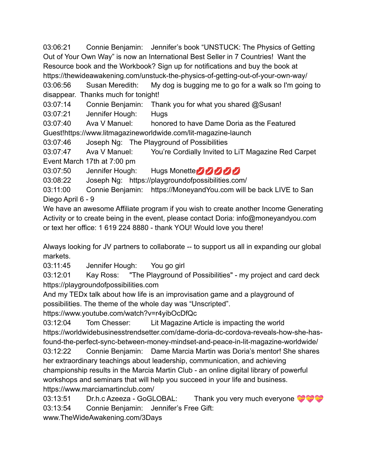03:06:21 Connie Benjamin: Jennifer's book "UNSTUCK: The Physics of Getting Out of Your Own Way" is now an International Best Seller in 7 Countries! Want the Resource book and the Workbook? Sign up for notifications and buy the book at https://thewideawakening.com/unstuck-the-physics-of-getting-out-of-your-own-way/

03:06:56 Susan Meredith: My dog is bugging me to go for a walk so I'm going to disappear. Thanks much for tonight!

03:07:14 Connie Benjamin: Thank you for what you shared @Susan!

03:07:21 Jennifer Hough: Hugs

03:07:40 Ava V Manuel: honored to have Dame Doria as the Featured Guest!https://www.litmagazineworldwide.com/lit-magazine-launch

03:07:46 Joseph Ng: The Playground of Possibilities

03:07:47 Ava V Manuel: You're Cordially Invited to LiT Magazine Red Carpet Event March 17th at 7:00 pm

03:07:50 Jennifer Hough: Hugs Monette

03:08:22 Joseph Ng: https://playgroundofpossibilities.com/

03:11:00 Connie Benjamin: https://MoneyandYou.com will be back LIVE to San Diego April 6 - 9

We have an awesome Affiliate program if you wish to create another Income Generating Activity or to create being in the event, please contact Doria: info@moneyandyou.com or text her office: 1 619 224 8880 - thank YOU! Would love you there!

Always looking for JV partners to collaborate -- to support us all in expanding our global markets.

03:11:45 Jennifer Hough: You go girl

03:12:01 Kay Ross: "The Playground of Possibilities" - my project and card deck https://playgroundofpossibilities.com

And my TEDx talk about how life is an improvisation game and a playground of possibilities. The theme of the whole day was "Unscripted".

https://www.youtube.com/watch?v=r4yibOcDfQc

03:12:04 Tom Chesser: Lit Magazine Article is impacting the world https://worldwidebusinesstrendsetter.com/dame-doria-dc-cordova-reveals-how-she-hasfound-the-perfect-sync-between-money-mindset-and-peace-in-lit-magazine-worldwide/ 03:12:22 Connie Benjamin: Dame Marcia Martin was Doria's mentor! She shares her extraordinary teachings about leadership, communication, and achieving

championship results in the Marcia Martin Club - an online digital library of powerful workshops and seminars that will help you succeed in your life and business. https://www.marciamartinclub.com/

03:13:51 Dr.h.c Azeeza - GoGLOBAL: Thank you very much everyone 03:13:54 Connie Benjamin: Jennifer's Free Gift:

www.TheWideAwakening.com/3Days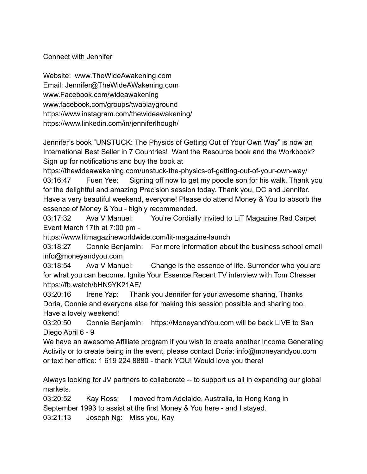Connect with Jennifer

Website: www.TheWideAwakening.com Email: Jennifer@TheWideAWakening.com www.Facebook.com/wideawakening www.facebook.com/groups/twaplayground https://www.instagram.com/thewideawakening/ https://www.linkedin.com/in/jenniferlhough/

Jennifer's book "UNSTUCK: The Physics of Getting Out of Your Own Way" is now an International Best Seller in 7 Countries! Want the Resource book and the Workbook? Sign up for notifications and buy the book at

https://thewideawakening.com/unstuck-the-physics-of-getting-out-of-your-own-way/ 03:16:47 Fuen Yee: Signing off now to get my poodle son for his walk. Thank you for the delightful and amazing Precision session today. Thank you, DC and Jennifer. Have a very beautiful weekend, everyone! Please do attend Money & You to absorb the essence of Money & You - highly recommended.

03:17:32 Ava V Manuel: You're Cordially Invited to LiT Magazine Red Carpet Event March 17th at 7:00 pm -

https://www.litmagazineworldwide.com/lit-magazine-launch

03:18:27 Connie Benjamin: For more information about the business school email info@moneyandyou.com

03:18:54 Ava V Manuel: Change is the essence of life. Surrender who you are for what you can become. Ignite Your Essence Recent TV interview with Tom Chesser https://fb.watch/bHN9YK21AE/

03:20:16 Irene Yap: Thank you Jennifer for your awesome sharing, Thanks Doria, Connie and everyone else for making this session possible and sharing too. Have a lovely weekend!

03:20:50 Connie Benjamin: https://MoneyandYou.com will be back LIVE to San Diego April 6 - 9

We have an awesome Affiliate program if you wish to create another Income Generating Activity or to create being in the event, please contact Doria: info@moneyandyou.com or text her office: 1 619 224 8880 - thank YOU! Would love you there!

Always looking for JV partners to collaborate -- to support us all in expanding our global markets.

03:20:52 Kay Ross: I moved from Adelaide, Australia, to Hong Kong in September 1993 to assist at the first Money & You here - and I stayed.

03:21:13 Joseph Ng: Miss you, Kay